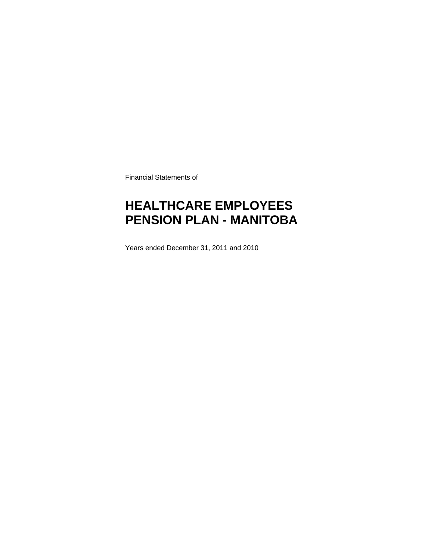Financial Statements of

# **HEALTHCARE EMPLOYEES PENSION PLAN - MANITOBA**

Years ended December 31, 2011 and 2010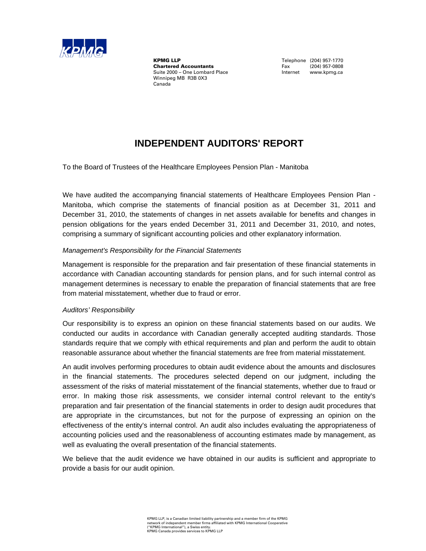

**KPMG LLP**<br> **Chartered Accountants**<br> **Chartered Accountants**<br>
Tax (204) 957-0808 **Chartered Accountants**<br>
Suite 2000 – One Lombard Place<br> **Suite 2000 – One Lombard Place** Winnipeg MB R3B 0X3 Canada

Internet www.kpmg.ca

### **INDEPENDENT AUDITORS' REPORT**

To the Board of Trustees of the Healthcare Employees Pension Plan - Manitoba

We have audited the accompanying financial statements of Healthcare Employees Pension Plan - Manitoba, which comprise the statements of financial position as at December 31, 2011 and December 31, 2010, the statements of changes in net assets available for benefits and changes in pension obligations for the years ended December 31, 2011 and December 31, 2010, and notes, comprising a summary of significant accounting policies and other explanatory information.

#### *Management's Responsibility for the Financial Statements*

Management is responsible for the preparation and fair presentation of these financial statements in accordance with Canadian accounting standards for pension plans, and for such internal control as management determines is necessary to enable the preparation of financial statements that are free from material misstatement, whether due to fraud or error.

#### *Auditors' Responsibility*

Our responsibility is to express an opinion on these financial statements based on our audits. We conducted our audits in accordance with Canadian generally accepted auditing standards. Those standards require that we comply with ethical requirements and plan and perform the audit to obtain reasonable assurance about whether the financial statements are free from material misstatement.

An audit involves performing procedures to obtain audit evidence about the amounts and disclosures in the financial statements. The procedures selected depend on our judgment, including the assessment of the risks of material misstatement of the financial statements, whether due to fraud or error. In making those risk assessments, we consider internal control relevant to the entity's preparation and fair presentation of the financial statements in order to design audit procedures that are appropriate in the circumstances, but not for the purpose of expressing an opinion on the effectiveness of the entity's internal control. An audit also includes evaluating the appropriateness of accounting policies used and the reasonableness of accounting estimates made by management, as well as evaluating the overall presentation of the financial statements.

We believe that the audit evidence we have obtained in our audits is sufficient and appropriate to provide a basis for our audit opinion.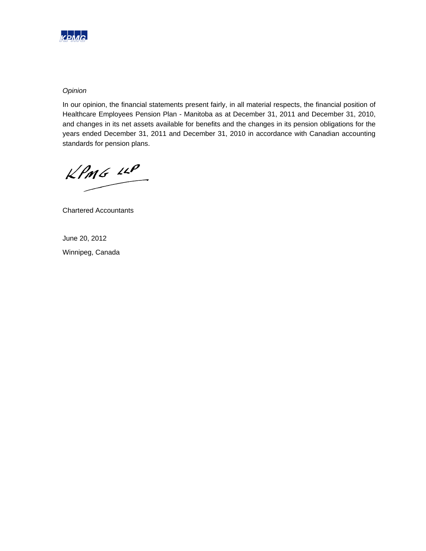

### *Opinion*

In our opinion, the financial statements present fairly, in all material respects, the financial position of Healthcare Employees Pension Plan - Manitoba as at December 31, 2011 and December 31, 2010, and changes in its net assets available for benefits and the changes in its pension obligations for the years ended December 31, 2011 and December 31, 2010 in accordance with Canadian accounting standards for pension plans.

 $KPMG$  14 $P$ 

Chartered Accountants

June 20, 2012 Winnipeg, Canada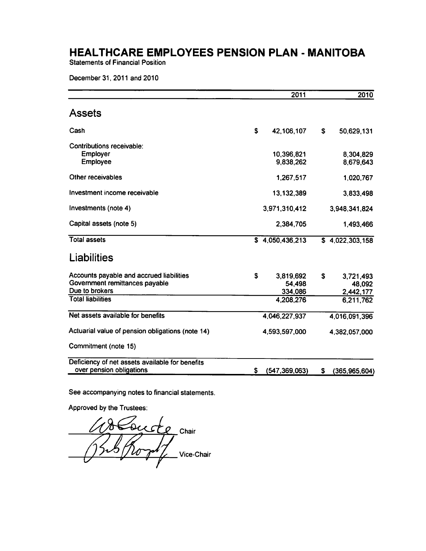**Statements of Financial Position** 

December 31, 2011 and 2010

|                                                                                                                          |    | 2011                                        |    | 2010                                          |
|--------------------------------------------------------------------------------------------------------------------------|----|---------------------------------------------|----|-----------------------------------------------|
| Assets                                                                                                                   |    |                                             |    |                                               |
| Cash                                                                                                                     | \$ | 42,106,107                                  | \$ | 50,629,131                                    |
| Contributions receivable:<br>Employer<br>Employee                                                                        |    | 10,396,821<br>9,838,262                     |    | 8,304,829<br>8,679,643                        |
| Other receivables                                                                                                        |    | 1,267,517                                   |    | 1,020,767                                     |
| Investment income receivable                                                                                             |    | 13,132,389                                  |    | 3,833,498                                     |
| Investments (note 4)                                                                                                     |    | 3,971,310,412                               |    | 3,948,341,824                                 |
| Capital assets (note 5)                                                                                                  |    | 2,384,705                                   |    | 1,493,466                                     |
| <b>Total assets</b>                                                                                                      |    | \$4,050,436,213                             |    | \$4,022,303,158                               |
| Liabilities                                                                                                              |    |                                             |    |                                               |
| Accounts payable and accrued liabilities<br>Government remittances payable<br>Due to brokers<br><b>Total liabilities</b> | \$ | 3,819,692<br>54,498<br>334,086<br>4,208,276 | S  | 3,721,493<br>48,092<br>2,442,177<br>6,211,762 |
| Net assets available for benefits                                                                                        |    | 4,046,227,937                               |    | 4,016,091,396                                 |
| Actuarial value of pension obligations (note 14)                                                                         |    | 4,593,597,000                               |    | 4,382,057,000                                 |
| Commitment (note 15)                                                                                                     |    |                                             |    |                                               |
| Deficiency of net assets available for benefits<br>over pension obligations                                              | S. | (547, 369, 063)                             | \$ | (365, 965, 604)                               |

See accompanying notes to financial statements.

Approved by the Trustees:

18 Soute Chair Vice-Chair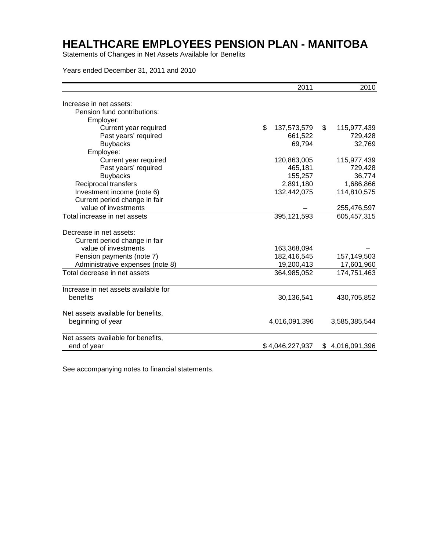Statements of Changes in Net Assets Available for Benefits

Years ended December 31, 2011 and 2010

|                                      | 2011              | 2010              |
|--------------------------------------|-------------------|-------------------|
| Increase in net assets:              |                   |                   |
| Pension fund contributions:          |                   |                   |
|                                      |                   |                   |
| Employer:                            |                   |                   |
| Current year required                | \$<br>137,573,579 | \$<br>115,977,439 |
| Past years' required                 | 661,522           | 729,428           |
| <b>Buybacks</b>                      | 69,794            | 32,769            |
| Employee:                            |                   |                   |
| Current year required                | 120,863,005       | 115,977,439       |
| Past years' required                 | 465,181           | 729,428           |
| <b>Buybacks</b>                      | 155,257           | 36,774            |
| Reciprocal transfers                 | 2,891,180         | 1,686,866         |
| Investment income (note 6)           | 132,442,075       | 114,810,575       |
| Current period change in fair        |                   |                   |
| value of investments                 |                   | 255,476,597       |
| Total increase in net assets         | 395,121,593       | 605,457,315       |
| Decrease in net assets:              |                   |                   |
| Current period change in fair        |                   |                   |
| value of investments                 | 163,368,094       |                   |
| Pension payments (note 7)            | 182,416,545       | 157,149,503       |
| Administrative expenses (note 8)     | 19,200,413        | 17,601,960        |
| Total decrease in net assets         | 364,985,052       | 174,751,463       |
| Increase in net assets available for |                   |                   |
| benefits                             | 30,136,541        | 430,705,852       |
| Net assets available for benefits,   |                   |                   |
| beginning of year                    | 4,016,091,396     | 3,585,385,544     |
| Net assets available for benefits,   |                   |                   |
| end of year                          | \$4,046,227,937   | \$4,016,091,396   |

See accompanying notes to financial statements.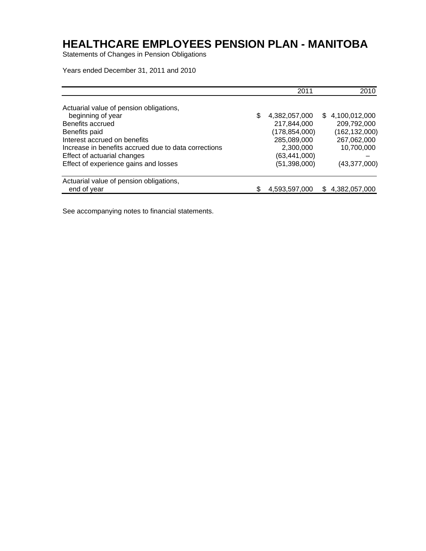Statements of Changes in Pension Obligations

Years ended December 31, 2011 and 2010

|                                                      | 2011                | 2010            |
|------------------------------------------------------|---------------------|-----------------|
| Actuarial value of pension obligations,              |                     |                 |
| beginning of year                                    | \$<br>4,382,057,000 | \$4,100,012,000 |
| Benefits accrued                                     | 217,844,000         | 209,792,000     |
| Benefits paid                                        | (178, 854, 000)     | (162, 132, 000) |
| Interest accrued on benefits                         | 285,089,000         | 267,062,000     |
| Increase in benefits accrued due to data corrections | 2,300,000           | 10,700,000      |
| Effect of actuarial changes                          | (63,441,000)        |                 |
| Effect of experience gains and losses                | (51, 398, 000)      | (43, 377, 000)  |
| Actuarial value of pension obligations,              |                     |                 |
| end of year                                          | \$<br>4,593,597,000 | 4,382,057,000   |

See accompanying notes to financial statements.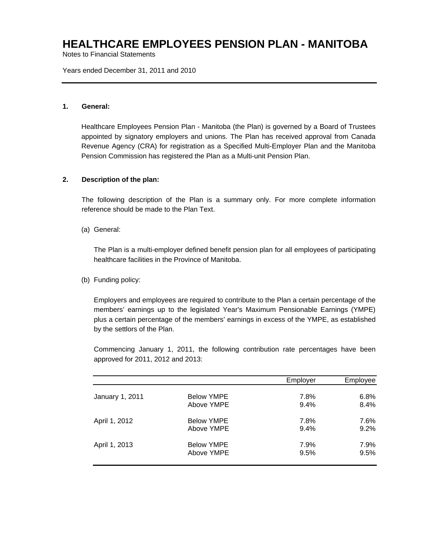Notes to Financial Statements

Years ended December 31, 2011 and 2010

#### **1. General:**

Healthcare Employees Pension Plan - Manitoba (the Plan) is governed by a Board of Trustees appointed by signatory employers and unions. The Plan has received approval from Canada Revenue Agency (CRA) for registration as a Specified Multi-Employer Plan and the Manitoba Pension Commission has registered the Plan as a Multi-unit Pension Plan.

### **2. Description of the plan:**

The following description of the Plan is a summary only. For more complete information reference should be made to the Plan Text.

(a) General:

The Plan is a multi-employer defined benefit pension plan for all employees of participating healthcare facilities in the Province of Manitoba.

(b) Funding policy:

Employers and employees are required to contribute to the Plan a certain percentage of the members' earnings up to the legislated Year's Maximum Pensionable Earnings (YMPE) plus a certain percentage of the members' earnings in excess of the YMPE, as established by the settlors of the Plan.

Commencing January 1, 2011, the following contribution rate percentages have been approved for 2011, 2012 and 2013:

|                 |                   | Employer | Employee |
|-----------------|-------------------|----------|----------|
| January 1, 2011 | <b>Below YMPE</b> | 7.8%     | 6.8%     |
|                 | Above YMPE        | 9.4%     | 8.4%     |
| April 1, 2012   | <b>Below YMPE</b> | 7.8%     | 7.6%     |
|                 | Above YMPE        | 9.4%     | 9.2%     |
| April 1, 2013   | <b>Below YMPE</b> | 7.9%     | 7.9%     |
|                 | Above YMPE        | 9.5%     | 9.5%     |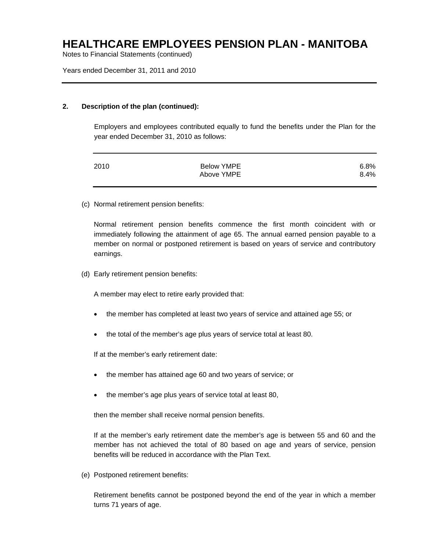Notes to Financial Statements (continued)

Years ended December 31, 2011 and 2010

#### **2. Description of the plan (continued):**

Employers and employees contributed equally to fund the benefits under the Plan for the year ended December 31, 2010 as follows:

| 2010 | <b>Below YMPE</b> | 6.8%    |
|------|-------------------|---------|
|      | Above YMPE        | $8.4\%$ |

(c) Normal retirement pension benefits:

Normal retirement pension benefits commence the first month coincident with or immediately following the attainment of age 65. The annual earned pension payable to a member on normal or postponed retirement is based on years of service and contributory earnings.

(d) Early retirement pension benefits:

A member may elect to retire early provided that:

- the member has completed at least two years of service and attained age 55; or
- the total of the member's age plus years of service total at least 80.

If at the member's early retirement date:

- the member has attained age 60 and two years of service; or
- the member's age plus years of service total at least 80,

then the member shall receive normal pension benefits.

If at the member's early retirement date the member's age is between 55 and 60 and the member has not achieved the total of 80 based on age and years of service, pension benefits will be reduced in accordance with the Plan Text.

(e) Postponed retirement benefits:

Retirement benefits cannot be postponed beyond the end of the year in which a member turns 71 years of age.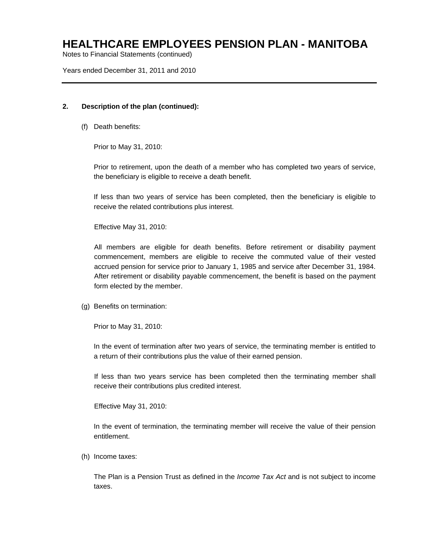Notes to Financial Statements (continued)

Years ended December 31, 2011 and 2010

#### **2. Description of the plan (continued):**

(f) Death benefits:

Prior to May 31, 2010:

Prior to retirement, upon the death of a member who has completed two years of service, the beneficiary is eligible to receive a death benefit.

If less than two years of service has been completed, then the beneficiary is eligible to receive the related contributions plus interest.

Effective May 31, 2010:

All members are eligible for death benefits. Before retirement or disability payment commencement, members are eligible to receive the commuted value of their vested accrued pension for service prior to January 1, 1985 and service after December 31, 1984. After retirement or disability payable commencement, the benefit is based on the payment form elected by the member.

(g) Benefits on termination:

Prior to May 31, 2010:

In the event of termination after two years of service, the terminating member is entitled to a return of their contributions plus the value of their earned pension.

If less than two years service has been completed then the terminating member shall receive their contributions plus credited interest.

Effective May 31, 2010:

In the event of termination, the terminating member will receive the value of their pension entitlement.

(h) Income taxes:

The Plan is a Pension Trust as defined in the *Income Tax Act* and is not subject to income taxes.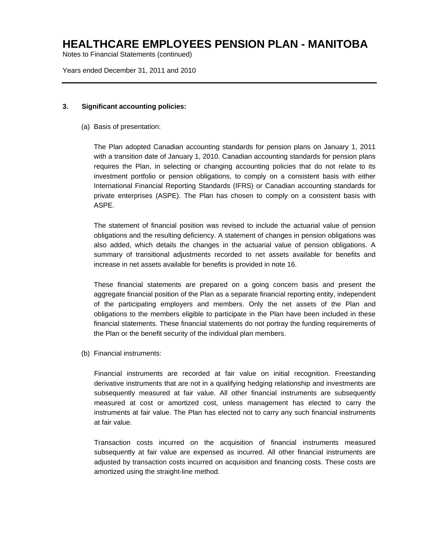Notes to Financial Statements (continued)

Years ended December 31, 2011 and 2010

#### **3. Significant accounting policies:**

(a) Basis of presentation:

The Plan adopted Canadian accounting standards for pension plans on January 1, 2011 with a transition date of January 1, 2010. Canadian accounting standards for pension plans requires the Plan, in selecting or changing accounting policies that do not relate to its investment portfolio or pension obligations, to comply on a consistent basis with either International Financial Reporting Standards (IFRS) or Canadian accounting standards for private enterprises (ASPE). The Plan has chosen to comply on a consistent basis with ASPE.

The statement of financial position was revised to include the actuarial value of pension obligations and the resulting deficiency. A statement of changes in pension obligations was also added, which details the changes in the actuarial value of pension obligations. A summary of transitional adjustments recorded to net assets available for benefits and increase in net assets available for benefits is provided in note 16.

These financial statements are prepared on a going concern basis and present the aggregate financial position of the Plan as a separate financial reporting entity, independent of the participating employers and members. Only the net assets of the Plan and obligations to the members eligible to participate in the Plan have been included in these financial statements. These financial statements do not portray the funding requirements of the Plan or the benefit security of the individual plan members.

(b) Financial instruments:

Financial instruments are recorded at fair value on initial recognition. Freestanding derivative instruments that are not in a qualifying hedging relationship and investments are subsequently measured at fair value. All other financial instruments are subsequently measured at cost or amortized cost, unless management has elected to carry the instruments at fair value. The Plan has elected not to carry any such financial instruments at fair value.

Transaction costs incurred on the acquisition of financial instruments measured subsequently at fair value are expensed as incurred. All other financial instruments are adjusted by transaction costs incurred on acquisition and financing costs. These costs are amortized using the straight-line method.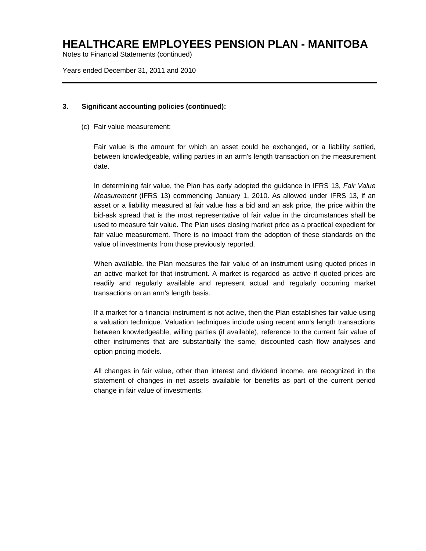Notes to Financial Statements (continued)

Years ended December 31, 2011 and 2010

#### **3. Significant accounting policies (continued):**

(c) Fair value measurement:

Fair value is the amount for which an asset could be exchanged, or a liability settled, between knowledgeable, willing parties in an arm's length transaction on the measurement date.

In determining fair value, the Plan has early adopted the guidance in IFRS 13, *Fair Value Measurement* (IFRS 13) commencing January 1, 2010. As allowed under IFRS 13, if an asset or a liability measured at fair value has a bid and an ask price, the price within the bid-ask spread that is the most representative of fair value in the circumstances shall be used to measure fair value. The Plan uses closing market price as a practical expedient for fair value measurement. There is no impact from the adoption of these standards on the value of investments from those previously reported.

When available, the Plan measures the fair value of an instrument using quoted prices in an active market for that instrument. A market is regarded as active if quoted prices are readily and regularly available and represent actual and regularly occurring market transactions on an arm's length basis.

If a market for a financial instrument is not active, then the Plan establishes fair value using a valuation technique. Valuation techniques include using recent arm's length transactions between knowledgeable, willing parties (if available), reference to the current fair value of other instruments that are substantially the same, discounted cash flow analyses and option pricing models.

All changes in fair value, other than interest and dividend income, are recognized in the statement of changes in net assets available for benefits as part of the current period change in fair value of investments.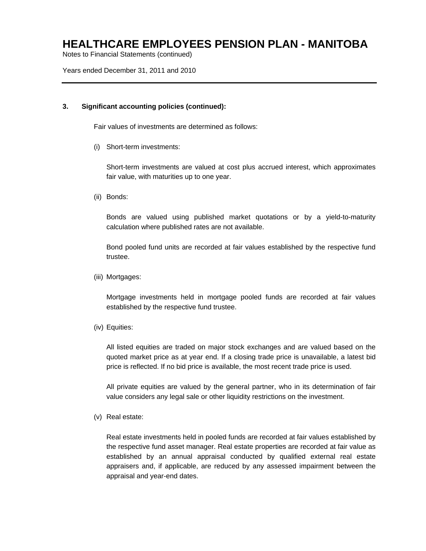Notes to Financial Statements (continued)

Years ended December 31, 2011 and 2010

#### **3. Significant accounting policies (continued):**

Fair values of investments are determined as follows:

(i) Short-term investments:

Short-term investments are valued at cost plus accrued interest, which approximates fair value, with maturities up to one year.

(ii) Bonds:

Bonds are valued using published market quotations or by a yield-to-maturity calculation where published rates are not available.

Bond pooled fund units are recorded at fair values established by the respective fund trustee.

(iii) Mortgages:

Mortgage investments held in mortgage pooled funds are recorded at fair values established by the respective fund trustee.

(iv) Equities:

All listed equities are traded on major stock exchanges and are valued based on the quoted market price as at year end. If a closing trade price is unavailable, a latest bid price is reflected. If no bid price is available, the most recent trade price is used.

All private equities are valued by the general partner, who in its determination of fair value considers any legal sale or other liquidity restrictions on the investment.

(v) Real estate:

Real estate investments held in pooled funds are recorded at fair values established by the respective fund asset manager. Real estate properties are recorded at fair value as established by an annual appraisal conducted by qualified external real estate appraisers and, if applicable, are reduced by any assessed impairment between the appraisal and year-end dates.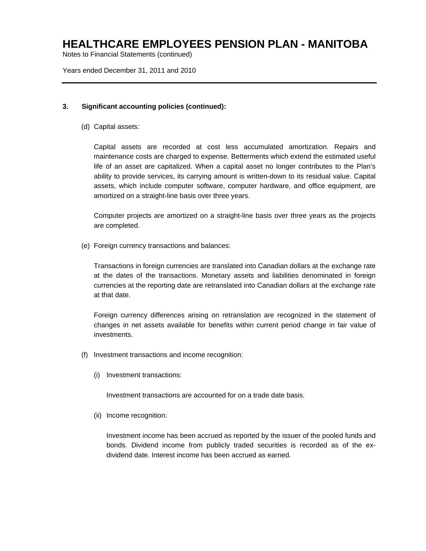Notes to Financial Statements (continued)

Years ended December 31, 2011 and 2010

#### **3. Significant accounting policies (continued):**

(d) Capital assets:

Capital assets are recorded at cost less accumulated amortization. Repairs and maintenance costs are charged to expense. Betterments which extend the estimated useful life of an asset are capitalized. When a capital asset no longer contributes to the Plan's ability to provide services, its carrying amount is written-down to its residual value. Capital assets, which include computer software, computer hardware, and office equipment, are amortized on a straight-line basis over three years.

Computer projects are amortized on a straight-line basis over three years as the projects are completed.

(e) Foreign currency transactions and balances:

Transactions in foreign currencies are translated into Canadian dollars at the exchange rate at the dates of the transactions. Monetary assets and liabilities denominated in foreign currencies at the reporting date are retranslated into Canadian dollars at the exchange rate at that date.

Foreign currency differences arising on retranslation are recognized in the statement of changes in net assets available for benefits within current period change in fair value of investments.

- (f) Investment transactions and income recognition:
	- (i) Investment transactions:

Investment transactions are accounted for on a trade date basis.

(ii) Income recognition:

Investment income has been accrued as reported by the issuer of the pooled funds and bonds. Dividend income from publicly traded securities is recorded as of the exdividend date. Interest income has been accrued as earned.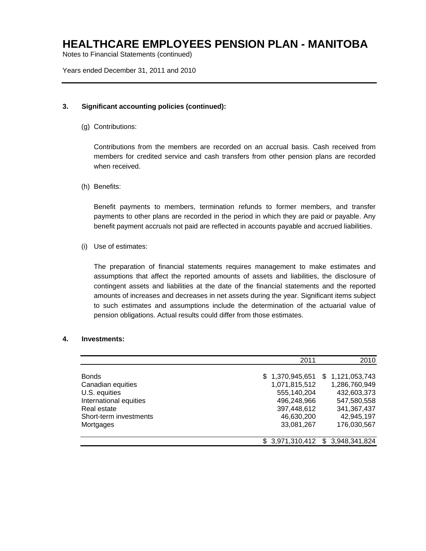Notes to Financial Statements (continued)

Years ended December 31, 2011 and 2010

#### **3. Significant accounting policies (continued):**

(g) Contributions:

Contributions from the members are recorded on an accrual basis. Cash received from members for credited service and cash transfers from other pension plans are recorded when received.

(h) Benefits:

Benefit payments to members, termination refunds to former members, and transfer payments to other plans are recorded in the period in which they are paid or payable. Any benefit payment accruals not paid are reflected in accounts payable and accrued liabilities.

(i) Use of estimates:

The preparation of financial statements requires management to make estimates and assumptions that affect the reported amounts of assets and liabilities, the disclosure of contingent assets and liabilities at the date of the financial statements and the reported amounts of increases and decreases in net assets during the year. Significant items subject to such estimates and assumptions include the determination of the actuarial value of pension obligations. Actual results could differ from those estimates.

#### **4. Investments:**

|                        | 2011                | 2010            |
|------------------------|---------------------|-----------------|
|                        |                     |                 |
| <b>Bonds</b>           | 1,370,945,651<br>S. | \$1,121,053,743 |
| Canadian equities      | 1,071,815,512       | 1,286,760,949   |
| U.S. equities          | 555,140,204         | 432,603,373     |
| International equities | 496,248,966         | 547,580,558     |
| Real estate            | 397,448,612         | 341, 367, 437   |
| Short-term investments | 46,630,200          | 42,945,197      |
| Mortgages              | 33,081,267          | 176,030,567     |
|                        |                     |                 |
|                        | \$ 3.971.310.412    | \$3,948,341,824 |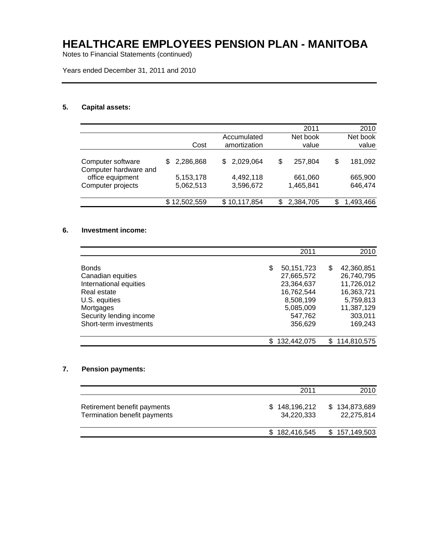Notes to Financial Statements (continued)

Years ended December 31, 2011 and 2010

### **5. Capital assets:**

|                                            |              |    |                             |    | 2011              |    | 2010              |
|--------------------------------------------|--------------|----|-----------------------------|----|-------------------|----|-------------------|
|                                            | Cost         |    | Accumulated<br>amortization |    | Net book<br>value |    | Net book<br>value |
|                                            |              |    |                             |    |                   |    |                   |
| Computer software<br>Computer hardware and | 2,286,868    | S. | 2,029,064                   | \$ | 257,804           | \$ | 181,092           |
| office equipment                           | 5,153,178    |    | 4,492,118                   |    | 661,060           |    | 665,900           |
| Computer projects                          | 5,062,513    |    | 3,596,672                   |    | 1,465,841         |    | 646,474           |
|                                            | \$12,502,559 |    | \$10,117,854                | S  | 2,384,705         | S  | 1,493,466         |

### **6. Investment income:**

|                         | 2011             |   | 2010          |
|-------------------------|------------------|---|---------------|
|                         |                  |   |               |
| <b>Bonds</b>            | \$<br>50,151,723 | S | 42,360,851    |
| Canadian equities       | 27,665,572       |   | 26,740,795    |
| International equities  | 23,364,637       |   | 11,726,012    |
| Real estate             | 16,762,544       |   | 16,363,721    |
| U.S. equities           | 8,508,199        |   | 5,759,813     |
| Mortgages               | 5,085,009        |   | 11,387,129    |
| Security lending income | 547,762          |   | 303,011       |
| Short-term investments  | 356,629          |   | 169.243       |
|                         | 132.442.075      |   | \$114,810,575 |

### **7. Pension payments:**

|                                                             | 2011                        | 2010                        |
|-------------------------------------------------------------|-----------------------------|-----------------------------|
| Retirement benefit payments<br>Termination benefit payments | \$148,196,212<br>34,220,333 | \$134,873,689<br>22,275,814 |
|                                                             | \$182,416,545               | \$157,149,503               |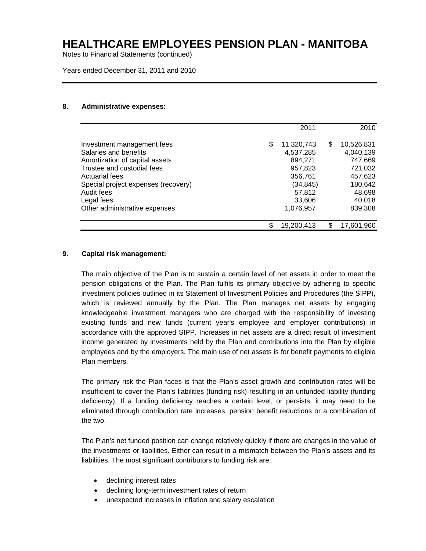Notes to Financial Statements (continued)

Years ended December 31, 2011 and 2010

#### **8. Administrative expenses:**

|                                     | 2011             |   | 2010       |
|-------------------------------------|------------------|---|------------|
| Investment management fees          | \$<br>11,320,743 | S | 10,526,831 |
| Salaries and benefits               | 4,537,285        |   | 4,040,139  |
| Amortization of capital assets      | 894,271          |   | 747,669    |
| Trustee and custodial fees          | 957,823          |   | 721,032    |
| Actuarial fees                      | 356,761          |   | 457,623    |
| Special project expenses (recovery) | (34, 845)        |   | 180,642    |
| Audit fees                          | 57,812           |   | 48,698     |
| Legal fees                          | 33,606           |   | 40,018     |
| Other administrative expenses       | 1,076,957        |   | 839,308    |
|                                     | \$<br>19,200,413 | S | 17.601.960 |

#### **9. Capital risk management:**

The main objective of the Plan is to sustain a certain level of net assets in order to meet the pension obligations of the Plan. The Plan fulfils its primary objective by adhering to specific investment policies outlined in its Statement of Investment Policies and Procedures (the SIPP), which is reviewed annually by the Plan. The Plan manages net assets by engaging knowledgeable investment managers who are charged with the responsibility of investing existing funds and new funds (current year's employee and employer contributions) in accordance with the approved SIPP. Increases in net assets are a direct result of investment income generated by investments held by the Plan and contributions into the Plan by eligible employees and by the employers. The main use of net assets is for benefit payments to eligible Plan members.

The primary risk the Plan faces is that the Plan's asset growth and contribution rates will be insufficient to cover the Plan's liabilities (funding risk) resulting in an unfunded liability (funding deficiency). If a funding deficiency reaches a certain level, or persists, it may need to be eliminated through contribution rate increases, pension benefit reductions or a combination of the two.

The Plan's net funded position can change relatively quickly if there are changes in the value of the investments or liabilities. Either can result in a mismatch between the Plan's assets and its liabilities. The most significant contributors to funding risk are:

- declining interest rates
- declining long-term investment rates of return
- unexpected increases in inflation and salary escalation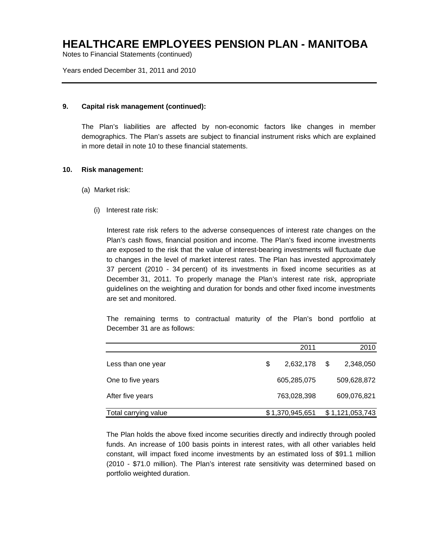Notes to Financial Statements (continued)

Years ended December 31, 2011 and 2010

#### **9. Capital risk management (continued):**

The Plan's liabilities are affected by non-economic factors like changes in member demographics. The Plan's assets are subject to financial instrument risks which are explained in more detail in note 10 to these financial statements.

#### **10. Risk management:**

- (a) Market risk:
	- (i) Interest rate risk:

Interest rate risk refers to the adverse consequences of interest rate changes on the Plan's cash flows, financial position and income. The Plan's fixed income investments are exposed to the risk that the value of interest-bearing investments will fluctuate due to changes in the level of market interest rates. The Plan has invested approximately 37 percent (2010 - 34 percent) of its investments in fixed income securities as at December 31, 2011. To properly manage the Plan's interest rate risk, appropriate guidelines on the weighting and duration for bonds and other fixed income investments are set and monitored.

The remaining terms to contractual maturity of the Plan's bond portfolio at December 31 are as follows:

|                      | 2011            |   | 2010            |
|----------------------|-----------------|---|-----------------|
| Less than one year   | \$<br>2,632,178 | S | 2,348,050       |
| One to five years    | 605,285,075     |   | 509,628,872     |
| After five years     | 763,028,398     |   | 609,076,821     |
| Total carrying value | \$1,370,945,651 |   | \$1,121,053,743 |

The Plan holds the above fixed income securities directly and indirectly through pooled funds. An increase of 100 basis points in interest rates, with all other variables held constant, will impact fixed income investments by an estimated loss of \$91.1 million (2010 - \$71.0 million). The Plan's interest rate sensitivity was determined based on portfolio weighted duration.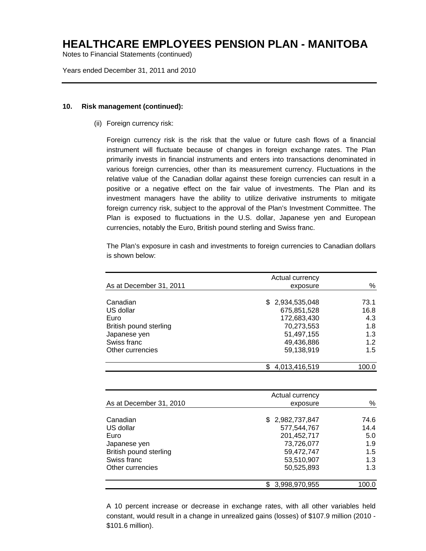Notes to Financial Statements (continued)

Years ended December 31, 2011 and 2010

#### **10. Risk management (continued):**

(ii) Foreign currency risk:

Foreign currency risk is the risk that the value or future cash flows of a financial instrument will fluctuate because of changes in foreign exchange rates. The Plan primarily invests in financial instruments and enters into transactions denominated in various foreign currencies, other than its measurement currency. Fluctuations in the relative value of the Canadian dollar against these foreign currencies can result in a positive or a negative effect on the fair value of investments. The Plan and its investment managers have the ability to utilize derivative instruments to mitigate foreign currency risk, subject to the approval of the Plan's Investment Committee. The Plan is exposed to fluctuations in the U.S. dollar, Japanese yen and European currencies, notably the Euro, British pound sterling and Swiss franc.

The Plan's exposure in cash and investments to foreign currencies to Canadian dollars is shown below:

|                         | Actual currency      |       |
|-------------------------|----------------------|-------|
| As at December 31, 2011 | exposure             | %     |
|                         |                      |       |
| Canadian                | \$2,934,535,048      | 73.1  |
| US dollar               | 675,851,528          | 16.8  |
| Euro                    | 172,683,430          | 4.3   |
| British pound sterling  | 70,273,553           | 1.8   |
| Japanese yen            | 51,497,155           | 1.3   |
| Swiss franc             | 49,436,886           | 1.2   |
| Other currencies        | 59,138,919           | 1.5   |
|                         | \$.<br>4,013,416,519 | 100.0 |
|                         |                      |       |

|                         | Actual currency |       |
|-------------------------|-----------------|-------|
| As at December 31, 2010 | exposure        | %     |
| Canadian                | \$2,982,737,847 | 74.6  |
| US dollar               | 577,544,767     | 14.4  |
| Euro                    | 201,452,717     | 5.0   |
| Japanese yen            | 73,726,077      | 1.9   |
| British pound sterling  | 59,472,747      | 1.5   |
| Swiss franc             | 53,510,907      | 1.3   |
| Other currencies        | 50,525,893      | 1.3   |
|                         |                 |       |
|                         | \$3,998,970,955 | 100.0 |

A 10 percent increase or decrease in exchange rates, with all other variables held constant, would result in a change in unrealized gains (losses) of \$107.9 million (2010 - \$101.6 million).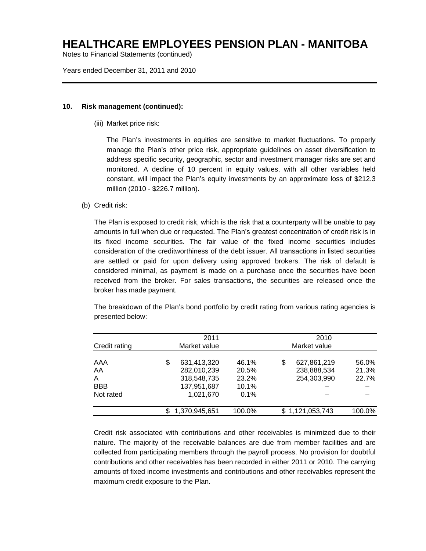Notes to Financial Statements (continued)

Years ended December 31, 2011 and 2010

#### **10. Risk management (continued):**

(iii) Market price risk:

The Plan's investments in equities are sensitive to market fluctuations. To properly manage the Plan's other price risk, appropriate guidelines on asset diversification to address specific security, geographic, sector and investment manager risks are set and monitored. A decline of 10 percent in equity values, with all other variables held constant, will impact the Plan's equity investments by an approximate loss of \$212.3 million (2010 - \$226.7 million).

#### (b) Credit risk:

The Plan is exposed to credit risk, which is the risk that a counterparty will be unable to pay amounts in full when due or requested. The Plan's greatest concentration of credit risk is in its fixed income securities. The fair value of the fixed income securities includes consideration of the creditworthiness of the debt issuer. All transactions in listed securities are settled or paid for upon delivery using approved brokers. The risk of default is considered minimal, as payment is made on a purchase once the securities have been received from the broker. For sales transactions, the securities are released once the broker has made payment.

The breakdown of the Plan's bond portfolio by credit rating from various rating agencies is presented below:

|               | 2011              |        |              | 2010            |        |
|---------------|-------------------|--------|--------------|-----------------|--------|
| Credit rating | Market value      |        | Market value |                 |        |
| AAA           | \$<br>631,413,320 | 46.1%  | \$           | 627,861,219     | 56.0%  |
| AA            | 282,010,239       | 20.5%  |              | 238,888,534     | 21.3%  |
| A             | 318,548,735       | 23.2%  |              | 254,303,990     | 22.7%  |
| <b>BBB</b>    | 137,951,687       | 10.1%  |              |                 |        |
| Not rated     | 1,021,670         | 0.1%   |              |                 |        |
|               | 1,370,945,651     | 100.0% |              | \$1,121,053,743 | 100.0% |

Credit risk associated with contributions and other receivables is minimized due to their nature. The majority of the receivable balances are due from member facilities and are collected from participating members through the payroll process. No provision for doubtful contributions and other receivables has been recorded in either 2011 or 2010. The carrying amounts of fixed income investments and contributions and other receivables represent the maximum credit exposure to the Plan.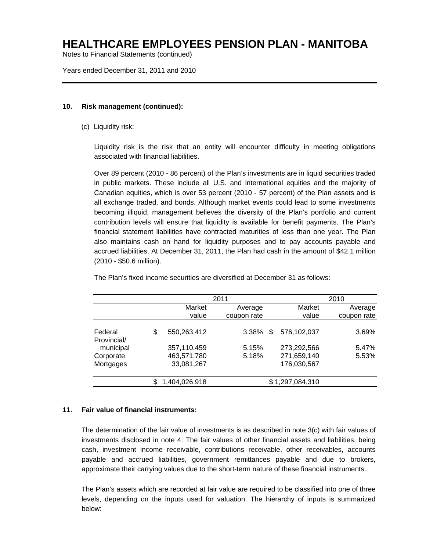Notes to Financial Statements (continued)

Years ended December 31, 2011 and 2010

#### **10. Risk management (continued):**

(c) Liquidity risk:

Liquidity risk is the risk that an entity will encounter difficulty in meeting obligations associated with financial liabilities.

Over 89 percent (2010 - 86 percent) of the Plan's investments are in liquid securities traded in public markets. These include all U.S. and international equities and the majority of Canadian equities, which is over 53 percent (2010 - 57 percent) of the Plan assets and is all exchange traded, and bonds. Although market events could lead to some investments becoming illiquid, management believes the diversity of the Plan's portfolio and current contribution levels will ensure that liquidity is available for benefit payments. The Plan's financial statement liabilities have contracted maturities of less than one year. The Plan also maintains cash on hand for liquidity purposes and to pay accounts payable and accrued liabilities. At December 31, 2011, the Plan had cash in the amount of \$42.1 million (2010 - \$50.6 million).

|                                     | 2011                                     |                        |    |                                           | 2010                   |
|-------------------------------------|------------------------------------------|------------------------|----|-------------------------------------------|------------------------|
|                                     | Market<br>value                          | Average<br>coupon rate |    | Market<br>value                           | Average<br>coupon rate |
| Federal<br>Provincial/              | \$<br>550,263,412                        | 3.38%                  | \$ | 576,102,037                               | 3.69%                  |
| municipal<br>Corporate<br>Mortgages | 357,110,459<br>463,571,780<br>33,081,267 | 5.15%<br>5.18%         |    | 273,292,566<br>271,659,140<br>176,030,567 | 5.47%<br>5.53%         |
|                                     | \$<br>1.404.026.918                      |                        |    | \$1.297.084.310                           |                        |

The Plan's fixed income securities are diversified at December 31 as follows:

#### **11. Fair value of financial instruments:**

The determination of the fair value of investments is as described in note 3(c) with fair values of investments disclosed in note 4. The fair values of other financial assets and liabilities, being cash, investment income receivable, contributions receivable, other receivables, accounts payable and accrued liabilities, government remittances payable and due to brokers, approximate their carrying values due to the short-term nature of these financial instruments.

The Plan's assets which are recorded at fair value are required to be classified into one of three levels, depending on the inputs used for valuation. The hierarchy of inputs is summarized below: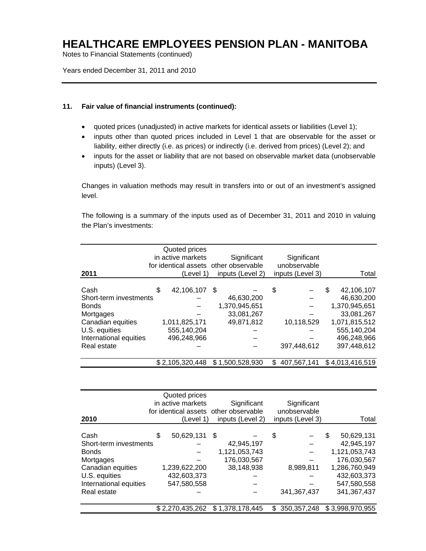Notes to Financial Statements (continued)

Years ended December 31, 2011 and 2010

#### **11. Fair value of financial instruments (continued):**

- quoted prices (unadjusted) in active markets for identical assets or liabilities (Level 1);
- inputs other than quoted prices included in Level 1 that are observable for the asset or liability, either directly (i.e. as prices) or indirectly (i.e. derived from prices) (Level 2); and
- inputs for the asset or liability that are not based on observable market data (unobservable inputs) (Level 3).

Changes in valuation methods may result in transfers into or out of an investment's assigned level.

The following is a summary of the inputs used as of December 31, 2011 and 2010 in valuing the Plan's investments:

| 2011                   | Quoted prices<br>in active markets<br>(Level 1) | Significant<br>for identical assets other observable<br>inputs (Level 2) |     | Significant<br>unobservable<br>inputs (Level 3) | Total            |
|------------------------|-------------------------------------------------|--------------------------------------------------------------------------|-----|-------------------------------------------------|------------------|
| Cash                   | \$<br>42,106,107                                | -\$                                                                      | \$  |                                                 | \$<br>42,106,107 |
| Short-term investments |                                                 | 46.630.200                                                               |     |                                                 | 46,630,200       |
| <b>Bonds</b>           |                                                 | 1,370,945,651                                                            |     |                                                 | 1,370,945,651    |
| Mortgages              |                                                 | 33,081,267                                                               |     |                                                 | 33,081,267       |
| Canadian equities      | 1,011,825,171                                   | 49,871,812                                                               |     | 10,118,529                                      | 1,071,815,512    |
| U.S. equities          | 555,140,204                                     |                                                                          |     |                                                 | 555,140,204      |
| International equities | 496,248,966                                     |                                                                          |     |                                                 | 496,248,966      |
| Real estate            |                                                 |                                                                          |     | 397,448,612                                     | 397,448,612      |
|                        | \$2,105,320,448                                 | \$1,500,528,930                                                          | \$. | 407,567,141                                     | \$4,013,416,519  |

|                        | Quoted prices     |                                       |                  |                  |
|------------------------|-------------------|---------------------------------------|------------------|------------------|
|                        | in active markets | Significant                           | Significant      |                  |
|                        |                   | for identical assets other observable | unobservable     |                  |
| 2010                   | (Level 1)         | inputs (Level 2)                      | inputs (Level 3) | Total            |
|                        |                   |                                       |                  |                  |
| Cash                   | \$<br>50,629,131  | \$                                    | \$               | \$<br>50,629,131 |
| Short-term investments |                   | 42,945,197                            |                  | 42.945.197       |
| <b>Bonds</b>           |                   | 1,121,053,743                         |                  | 1,121,053,743    |
| Mortgages              |                   | 176,030,567                           |                  | 176,030,567      |
| Canadian equities      | 1,239,622,200     | 38,148,938                            | 8,989,811        | 1,286,760,949    |
| U.S. equities          | 432,603,373       |                                       |                  | 432,603,373      |
| International equities | 547,580,558       |                                       |                  | 547,580,558      |
| Real estate            |                   |                                       | 341,367,437      | 341, 367, 437    |
|                        | \$2,270,435,262   | \$1,378,178,445                       | \$350,357,248    | \$3,998,970,955  |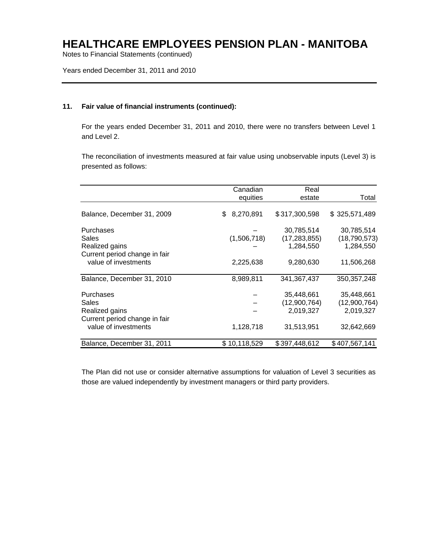Notes to Financial Statements (continued)

Years ended December 31, 2011 and 2010

#### **11. Fair value of financial instruments (continued):**

For the years ended December 31, 2011 and 2010, there were no transfers between Level 1 and Level 2.

The reconciliation of investments measured at fair value using unobservable inputs (Level 3) is presented as follows:

|                                                                                                      | Canadian<br>equities     | Real<br>estate                                         | Total                                                 |
|------------------------------------------------------------------------------------------------------|--------------------------|--------------------------------------------------------|-------------------------------------------------------|
| Balance, December 31, 2009                                                                           | \$<br>8,270,891          | \$317,300,598                                          | \$325,571,489                                         |
| <b>Purchases</b><br>Sales<br>Realized gains<br>Current period change in fair<br>value of investments | (1,506,718)<br>2,225,638 | 30,785,514<br>(17, 283, 855)<br>1,284,550<br>9,280,630 | 30,785,514<br>(18,790,573)<br>1,284,550<br>11,506,268 |
| Balance, December 31, 2010                                                                           | 8,989,811                | 341, 367, 437                                          | 350, 357, 248                                         |
| <b>Purchases</b><br>Sales<br>Realized gains<br>Current period change in fair<br>value of investments | 1,128,718                | 35,448,661<br>(12,900,764)<br>2,019,327<br>31,513,951  | 35,448,661<br>(12,900,764)<br>2,019,327<br>32,642,669 |
| Balance, December 31, 2011                                                                           | \$10,118,529             | \$397,448,612                                          | \$407,567,141                                         |

The Plan did not use or consider alternative assumptions for valuation of Level 3 securities as those are valued independently by investment managers or third party providers.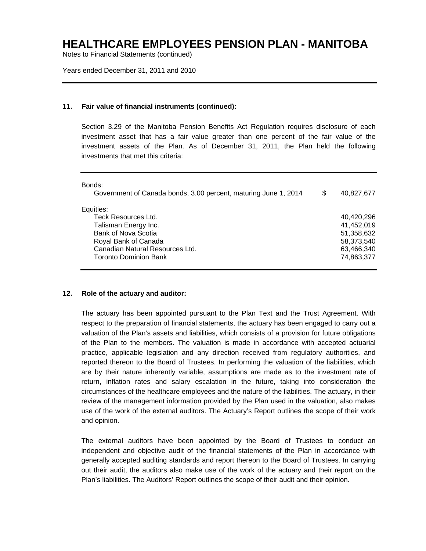Notes to Financial Statements (continued)

Years ended December 31, 2011 and 2010

#### **11. Fair value of financial instruments (continued):**

Section 3.29 of the Manitoba Pension Benefits Act Regulation requires disclosure of each investment asset that has a fair value greater than one percent of the fair value of the investment assets of the Plan. As of December 31, 2011, the Plan held the following investments that met this criteria:

| Bonds:<br>Government of Canada bonds, 3.00 percent, maturing June 1, 2014                                                                                                         | \$. | 40,827,677                                                                       |
|-----------------------------------------------------------------------------------------------------------------------------------------------------------------------------------|-----|----------------------------------------------------------------------------------|
| Equities:<br><b>Teck Resources Ltd.</b><br>Talisman Energy Inc.<br>Bank of Nova Scotia<br>Royal Bank of Canada<br>Canadian Natural Resources Ltd.<br><b>Toronto Dominion Bank</b> |     | 40,420,296<br>41,452,019<br>51,358,632<br>58,373,540<br>63,466,340<br>74,863,377 |

#### **12. Role of the actuary and auditor:**

The actuary has been appointed pursuant to the Plan Text and the Trust Agreement. With respect to the preparation of financial statements, the actuary has been engaged to carry out a valuation of the Plan's assets and liabilities, which consists of a provision for future obligations of the Plan to the members. The valuation is made in accordance with accepted actuarial practice, applicable legislation and any direction received from regulatory authorities, and reported thereon to the Board of Trustees. In performing the valuation of the liabilities, which are by their nature inherently variable, assumptions are made as to the investment rate of return, inflation rates and salary escalation in the future, taking into consideration the circumstances of the healthcare employees and the nature of the liabilities. The actuary, in their review of the management information provided by the Plan used in the valuation, also makes use of the work of the external auditors. The Actuary's Report outlines the scope of their work and opinion.

The external auditors have been appointed by the Board of Trustees to conduct an independent and objective audit of the financial statements of the Plan in accordance with generally accepted auditing standards and report thereon to the Board of Trustees. In carrying out their audit, the auditors also make use of the work of the actuary and their report on the Plan's liabilities. The Auditors' Report outlines the scope of their audit and their opinion.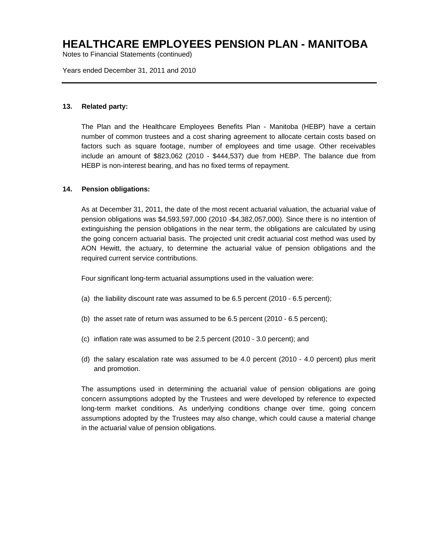Notes to Financial Statements (continued)

Years ended December 31, 2011 and 2010

#### **13. Related party:**

The Plan and the Healthcare Employees Benefits Plan - Manitoba (HEBP) have a certain number of common trustees and a cost sharing agreement to allocate certain costs based on factors such as square footage, number of employees and time usage. Other receivables include an amount of \$823,062 (2010 - \$444,537) due from HEBP. The balance due from HEBP is non-interest bearing, and has no fixed terms of repayment.

#### **14. Pension obligations:**

As at December 31, 2011, the date of the most recent actuarial valuation, the actuarial value of pension obligations was \$4,593,597,000 (2010 -\$4,382,057,000). Since there is no intention of extinguishing the pension obligations in the near term, the obligations are calculated by using the going concern actuarial basis. The projected unit credit actuarial cost method was used by AON Hewitt, the actuary, to determine the actuarial value of pension obligations and the required current service contributions.

Four significant long-term actuarial assumptions used in the valuation were:

- (a) the liability discount rate was assumed to be 6.5 percent (2010 6.5 percent);
- (b) the asset rate of return was assumed to be 6.5 percent (2010 6.5 percent);
- (c) inflation rate was assumed to be 2.5 percent (2010 3.0 percent); and
- (d) the salary escalation rate was assumed to be 4.0 percent (2010 4.0 percent) plus merit and promotion.

The assumptions used in determining the actuarial value of pension obligations are going concern assumptions adopted by the Trustees and were developed by reference to expected long-term market conditions. As underlying conditions change over time, going concern assumptions adopted by the Trustees may also change, which could cause a material change in the actuarial value of pension obligations.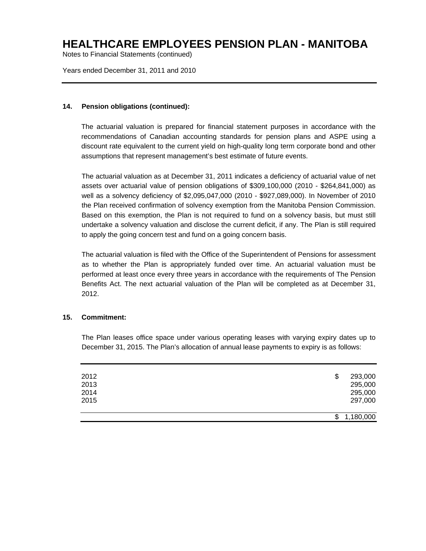Notes to Financial Statements (continued)

Years ended December 31, 2011 and 2010

#### **14. Pension obligations (continued):**

The actuarial valuation is prepared for financial statement purposes in accordance with the recommendations of Canadian accounting standards for pension plans and ASPE using a discount rate equivalent to the current yield on high-quality long term corporate bond and other assumptions that represent management's best estimate of future events.

The actuarial valuation as at December 31, 2011 indicates a deficiency of actuarial value of net assets over actuarial value of pension obligations of \$309,100,000 (2010 - \$264,841,000) as well as a solvency deficiency of \$2,095,047,000 (2010 - \$927,089,000). In November of 2010 the Plan received confirmation of solvency exemption from the Manitoba Pension Commission. Based on this exemption, the Plan is not required to fund on a solvency basis, but must still undertake a solvency valuation and disclose the current deficit, if any. The Plan is still required to apply the going concern test and fund on a going concern basis.

The actuarial valuation is filed with the Office of the Superintendent of Pensions for assessment as to whether the Plan is appropriately funded over time. An actuarial valuation must be performed at least once every three years in accordance with the requirements of The Pension Benefits Act. The next actuarial valuation of the Plan will be completed as at December 31, 2012.

### **15. Commitment:**

The Plan leases office space under various operating leases with varying expiry dates up to December 31, 2015. The Plan's allocation of annual lease payments to expiry is as follows:

| 2012 | 293,000<br>\$   |
|------|-----------------|
| 2013 | 295,000         |
| 2014 | 295,000         |
| 2015 | 297,000         |
|      |                 |
|      | 1,180,000<br>\$ |